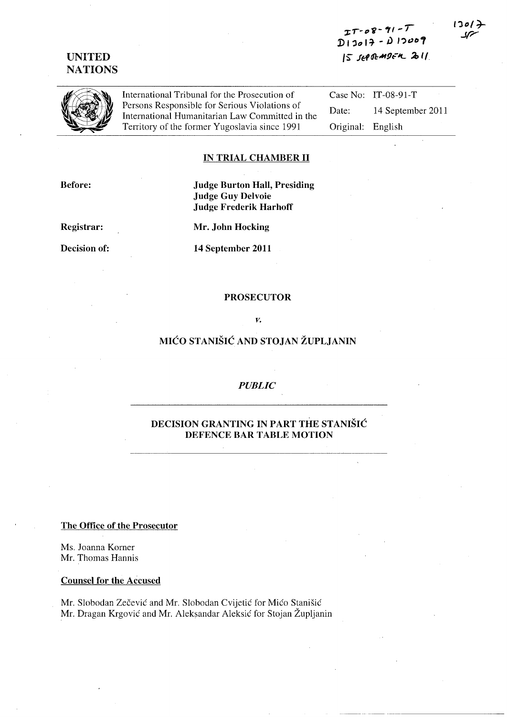# **UNITED NATIONS**

*']:.,\_p'fj-'" -I*  D<sub>13017</sub> - D<sub>13009</sub> I~ *fi:t(/l:M!1,;"1L* **,2, 11.** 



International Tribunal for the Prosecution of Persons Responsible for Serious Violations of International Humanitarian Law Committed in the Territory of the former Yugoslavia since 1991

Case No: IT-08-91-T

Date: 14 September 2011 Original: English

#### **IN TRIAL CHAMBER 11**

**Before:** 

**Judge Burton Hall, Presiding Judge Guy Delvoie Judge Frederik Harhoff** 

**Registrar:** 

**Decision of:** 

**Mr. John Hocking** 

**14 September 2011** 

#### **PROSECUTOR**

*v.* 

## **MICO STANISIC AND STOJAN ZUPLJANIN**

## *PUBLIC*

## **DECISION GRANTING IN PART THE STANISIC DEFENCE BAR TABLE MOTION**

**The Office of the Prosecutor** 

Ms. Joanna Korner Mr. Thomas Hannis

### **Counsel for the Accused**

Mr. Slobodan Zečević and Mr. Slobodan Cvijetić for Mićo Stanišić Mr. Dragan Krgović and Mr. Aleksandar Aleksić for Stojan Župljanin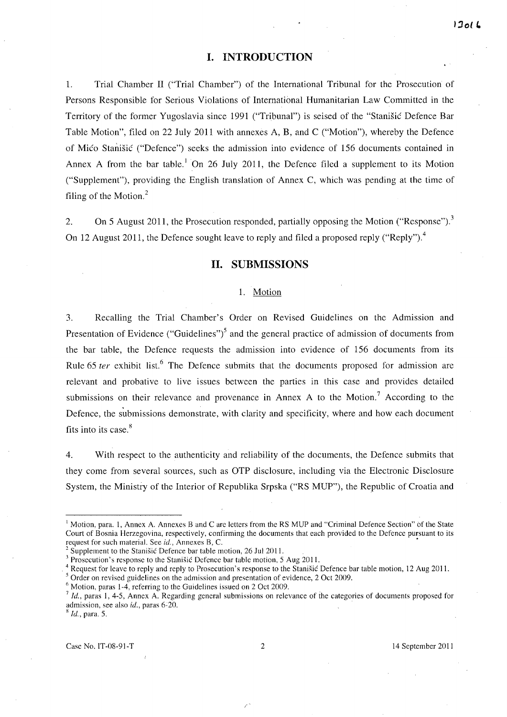## **I. INTRODUCTION**

1. Trial Chamber II ("Trial Chamber") of the International Tribunal for the Prosecution of Persons Responsible for Serious Violations of International Humanitarian Law Committed in the Territory of the former Yugoslavia since 1991 ("Tribunal") is seised of the "Stanisic Defence Bar Table Motion", filed on 22 July 2011 with annexes A, B, and C ("Motion"), whereby the Defence of Mico Stanisic ("Defence") seeks the admission into evidence of 156 documents contained in Annex A from the bar table.<sup>1</sup> On 26 July 2011, the Defence filed a supplement to its Motion ("Supplement"), providing the English translation of Annex C, which was pending at the time of filing of the Motion. $<sup>2</sup>$ </sup>

2. On 5 August 2011, the Prosecution responded, partially opposing the Motion ("Response").<sup>3</sup> On 12 August 2011, the Defence sought leave to reply and filed a proposed reply ("Reply").<sup>4</sup>

## **11. SUBMISSIONS**

### 1. Motion

3. Recalling the Trial Chamber's Order on Revised Guidelines on the Admission and Presentation of Evidence ("Guidelines")<sup>5</sup> and the general practice of admission of documents from the bar table, the Defence requests the admission into evidence of 156 documents from its Rule 65 ter exhibit list.<sup>6</sup> The Defence submits that the documents proposed for admission are relevant and probative to live issues between the parties in this case and provides detailed submissions on their relevance and provenance in Annex A to the Motion.<sup>7</sup> According to the Defence, the submissions demonstrate, with clarity and specificity, where and how each document fits into its case.<sup>8</sup>

4. With respect to the authenticity and reliability of the documents, the Defence submits that they come from several sources, such as OTP disclosure, including via the Electronic Disclosure System, the Ministry of the Interior of Republika Srpska ("RS MUP"), the Republic of Croatia and

<sup>8</sup>*Id.,* para. 5.

<sup>&</sup>lt;sup>1</sup> Motion, para. 1, Annex A. Annexes B and C are letters from the RS MUP and "Criminal Defence Section" of the State Court of Bosnia Herzegovina, respectively, confirming the documents that each provided to the Defence pursuant to its request for such material. See *id.,* Annexes B, C. •

Supplement to the Stanisic Defence bar table motion, 26 Jul 2011.

<sup>&</sup>lt;sup>3</sup> Prosecution's response to the Stanisic Defence bar table motion, 5 Aug 2011.

<sup>&</sup>lt;sup>4</sup> Request for leave to reply and reply to Prosecution's response to the Stanišić Defence bar table motion, 12 Aug 2011.

<sup>&</sup>lt;sup>5</sup> Order on revised guidelines on the admission and presentation of evidence, 2 Oct 2009.

 $6$  Motion, paras 1-4, referring to the Guidelines issued on 2 Oct 2009.

<sup>7</sup>*Id.,* paras 1,4-5, Annex A. Regarding general submissions on relevance of the categories of documents proposed for admission, see also *id.,* paras 6-20.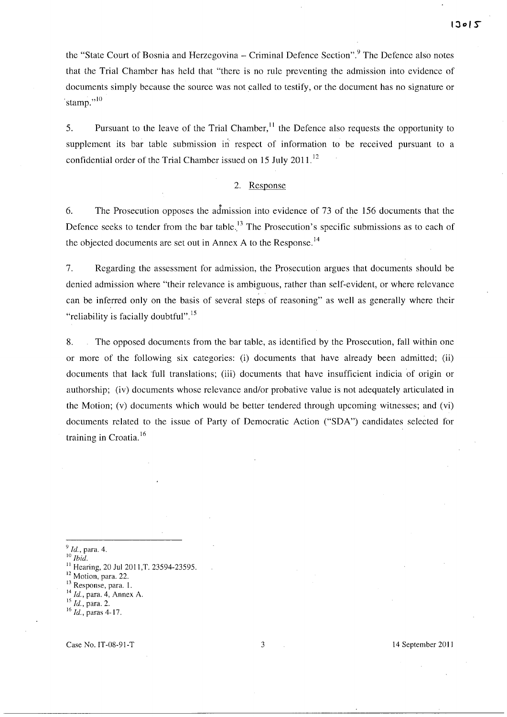the "State Court of Bosnia and Herzegovina – Criminal Defence Section".<sup>9</sup> The Defence also notes that the Trial Chamber has held that "there is no rule preventing the admission into evidence of documents simply because the source was not called to testify, or the document has no signature or stamp." $^{10}$ 

5. Pursuant to the leave of the Trial Chamber,  $\frac{11}{11}$  the Defence also requests the opportunity to supplement its bar table submission in respect of information to be received pursuant to a confidential order of the Trial Chamber issued on 15 July 2011.<sup>12</sup>

### 2. Response

6. The Prosecution opposes the admission into evidence of 73 of the 156 documents that the Defence seeks to tender from the bar table.<sup>13</sup> The Prosecution's specific submissions as to each of the objected documents are set out in Annex A to the Response.<sup>14</sup>

7. Regarding the assessment for admission, the Prosecution argues that documents should be denied admission where "their relevance is ambiguous, rather than self-evident, or where relevance can be inferred only on the basis of several steps of reasoning" as well as generally where their "reliability is facially doubtful".<sup>15</sup>

8. The opposed documents from the bar table, as identified by the Prosecution, fall within one or more of the following six categories: (i) documents that have already been admitted; (ii) documents that lack full translations; (iii) documents that have insufficient indicia of origin or authorship; (iv) documents whose relevance and/or probative value is not adequately articulated in the Motion; (v) documents which would be better tendered through upcoming witnesses; and (vi) documents related to the issue of Party of Democratic Action ("SDA") candidates selected for training in Croatia. <sup>16</sup>

<sup>9</sup>*Id.,* para. 4.

<sup>10</sup>*Ihid.* 

Hearing, 20 Jul 2011, T. 23594-23595.

 $12$  Motion, para. 22.

Response, para. 1.

<sup>14</sup>*Id.,* para. 4, Annex A.

<sup>15</sup>*Id.,* para. 2.

<sup>16</sup>*Id.,* paras 4-17.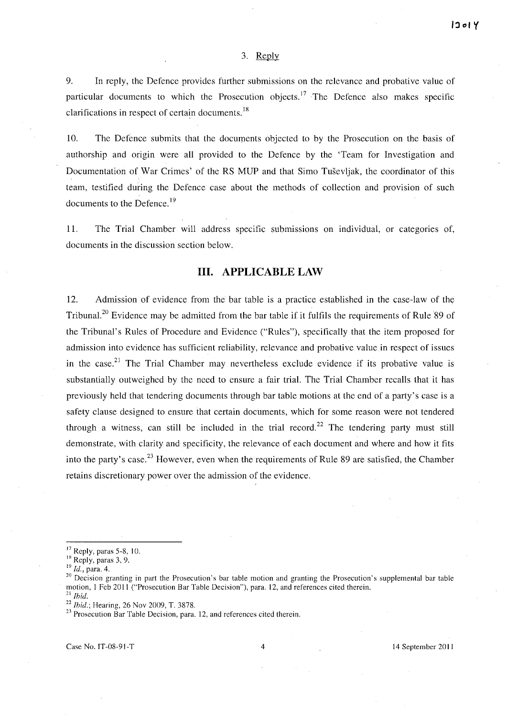#### 3. Reply

9. In reply, the Defence provides further submissions on the relevance and probative value of particular documents to which the Prosecution objects.<sup>17</sup> The Defence also makes specific clarifications in respect of certain documents.  $18$ 

10. The Defence submits that the docmpents objected to by the Prosecution on the basis of authorship and origin were all provided to the Defence by the 'Team for Investigation and Documentation of War Crimes' of the RS MUP and that Simo Tusevljak, the coordinator of this team, testified during the Defence case about the methods of collection and provision of such documents to the Defence.<sup>19</sup>

11. The Trial Chamber will address specific submissions on individual, or categories of, documents in the discussion section below.

## **Ill. APPLICABLE LAW**

12. Admission of evidence from the bar table is a practice established in the case-law of the Tribunal.<sup>20</sup> Evidence may be admitted from the bar table if it fulfils the requirements of Rule 89 of the Tribunal's Rules of Procedure and Evidence ("Rules"), specifically that the item proposed for admission into evidence has sufficient reliability, relevance and probative value in respect of issues in the case.<sup>21</sup> The Trial Chamber may nevertheless exclude evidence if its probative value is substantially outweighed by the need to ensure a fair trial. The Trial Chamber recalls that it has previously held that tendering documents through bar table motions at the end of a party's case is a safety clause designed to ensure that certain documents, which for some reason were not tendered through a witness, can still be included in the trial record.<sup>22</sup> The tendering party must still demonstrate, with clarity and specificity, the relevance of each document and where and how it fits into the party's case.<sup>23</sup> However, even when the requirements of Rule 89 are satisfied, the Chamber retains discretionary power over the admission of the evidence.

 $17$  Reply, paras 5-8, 10.

<sup>&</sup>lt;sup>18</sup> Reply, paras 3, 9.

<sup>19</sup> Id., para. 4.

<sup>&</sup>lt;sup>20</sup> Decision granting in part the Prosecution's bar table motion and granting the Prosecution's supplemental bar table motion, 1 Feb 2011 ("Prosecution Bar Table Decision"), para. 12, and references cited therein. <sup>21</sup>*Ibid.* 

<sup>22</sup>*Ibid.;* Hearing, 26 Noy 2009, T. 3878.

 $^{23}$  Prosecution Bar Table Decision, para. 12, and references cited therein.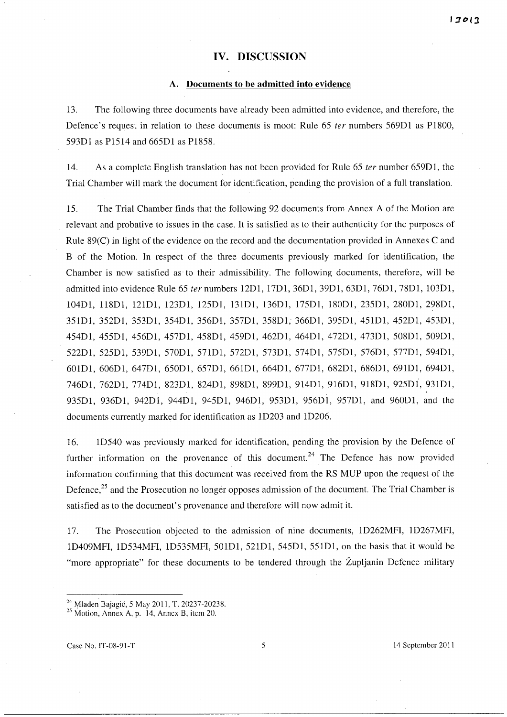## **IV. DISCUSSION**

### **A. Documents to be admitted into evidence**

13. The following three documents have already been admitted into evidence, and therefore, the Defence's request in relation to these documents is moot: Rule 65 *ter* numbers 569Dl as P1800, 593Dl as P1514 and 665Dl as P1858.

14. As a complete English translation has not been provided for Rule 65 *ter* number 659Dl, the Trial Chamber will mark the document for identification, pending the provision of a full translation.

15. The Trial Chamber finds that the following 92 documents from Annex A of the Motion are relevant and probative to issues in the case. **It** is satisfied as to their authenticity for the purposes of Rule 89(C) in light of the evidence on the record and the documentation provided in Annexes C and B of the Motion. **In** respect of the three documents previously marked for identification, the Chamber is now satisfied as to their admissibility. The following documents, therefore, will be admitted into evidence Rule 65 *ter* numbers 12DI, 17DI, 36Dl, 39Dl, 63Dl, 76DI, 78DI, I03DI, 104DI, 118DI, 121DI, 123Dl, 125Dl, 131DI, 136Dl, 175Dl, 180Dl, 235DI, 280DI, 298Dl, 351DI, 352DI, 353Dl, 354Dl, 356DI, 357DI, 358Dl, 366DI, 395Dl, 451DI, 452DI, 453DI, 454Dl, 455Dl, 456DI, 457DI, 458Dl, 459D1, 462DI, 464D1, 472DI, 473Dl, 508DI, 509DI, 522DI, 525DI, 539D1, 570Dl, 571Dl, 572DI, 573D1, 574D1, 575DI, 576DI, 577DI, 594DI, 601DI, 606DI, 647DI, 650DI, 657DI, 661DI, 664DI, 677DI, 682DI, 686DI, 691Dl, 694DI, 746DI, 762DI, 774Dl, 823Dl, 824DI, 898DI, 899Dl, 914DI, 916DI, 918Dl, 925DI, 931DI, 935DI, 936D1, 942DI, 944DI, 945DI, 946DI, 953Dl, 956DI, 957DI, and 960DI, and the documents currently marked for identification as ID203 and ID206.

16. ID540 was previously marked for identification, pending the provision by the Defence of further information on the provenance of this document.<sup>24</sup> The Defence has now provided information confirming that this document was received from the RS MUP upon the request of the Defence,<sup>25</sup> and the Prosecution no longer opposes admission of the document. The Trial Chamber is satisfied as to the document's provenance and therefore will now admit it.

17. The Prosecution objected to the admission of nine documents, ID262MFI, ID267MFI, ID409MFI, ID534MFI, ID535MFI, 501DI, 521Dl, 545DI, 551DI, on the basis that it would be "more appropriate" for these documents to be tendered through the Župljanin Defence military

<sup>24</sup>Mladen Bajagic, 5 May 2011, T. 20237-20238.

 $25$  Motion, Annex A, p. 14, Annex B, item 20.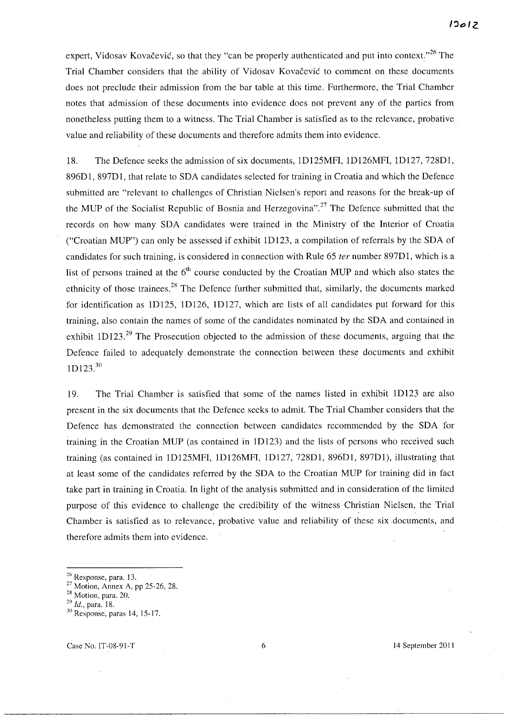expert, Vidosav Kovačević, so that they "can be properly authenticated and put into context."<sup>26</sup> The Trial Chamber considers that the ability of Vidosav Kovačević to comment on these documents does not preclude their admission from the bar table at this time. Furthermore, the Trial Chamber notes that admission of these documents into evidence does not prevent any of the parties from nonetheless putting them to a witness. The Trial Chamber is satisfied as to the relevance, probative value and reliability of these documents and therefore admits them into evidence.

18. The Defence seeks the admission of six documents, IDI25MFI, IDI26MFI, ID127, 728Dl, 896Dl, 897Dl, that relate to SDA candidates selected for training in Croatia and which the Defence submitted are "relevant to challenges of Christian Nielsen's report and reasons for the break-up of the MUP of the Socialist Republic of Bosnia and Herzegovina".<sup>27</sup> The Defence submitted that the records on how many SDA candidates were trained in the Ministry of the Interior of Croatia ("Croatian MUP") can only be assessed if exhibit ID 123, a compilation of referrals by the SDA of candidates for such training, is considered in connection with Rule 65 *ter* number 897Dl, which is a list of persons trained at the  $6<sup>th</sup>$  course conducted by the Croatian MUP and which also states the ethnicity of those trainees.<sup>28</sup> The Defence further submitted that, similarly, the documents marked for identification as 1D125, 1D126, 1D127, which are lists of all candidates put forward for this training, also contain the names of some of the candidates nominated by the SDA and contained in exhibit  $1D123$ <sup>29</sup>. The Prosecution objected to the admission of these documents, arguing that the Defence failed to adequately demonstrate the connection between these documents and exhibit  $1D123.<sup>30</sup>$ 

19. The Trial Chamber is satisfied that some of the names listed in exhibit ID123 are also present in the six documents that the Defence seeks to admit The Trial Chamber considers that the Defence has demonstrated the connection between candidates recommended by the SDA for training in the Croatian MUP (as contained in ID 123) and the lists of persons who received such training (as contained in IDI25MFI, IDI26MFI, IDI27, 728Dl, 896Dl, 897Dl), illustrating that at least some of the candidates referred by the SDA to the Croatian MUP for training did in fact take part in training in Croatia. In light of the analysis submitted and in consideration of the limited purpose of this evidence to challenge the credibility of the witness Christian Nielsen, the Trial Chamber is satisfied as to relevance, probative value and reliability of these six documents, and therefore admits them into evidence.

 $\frac{26}{15}$  Response, para. 13.

<sup>27</sup> Motion, Annex A, pp 25-26, 28.

<sup>28</sup> Motion, para. 20.

*<sup>29</sup> Id.,* para. 18.

<sup>30</sup>Response, paras 14, 15-17.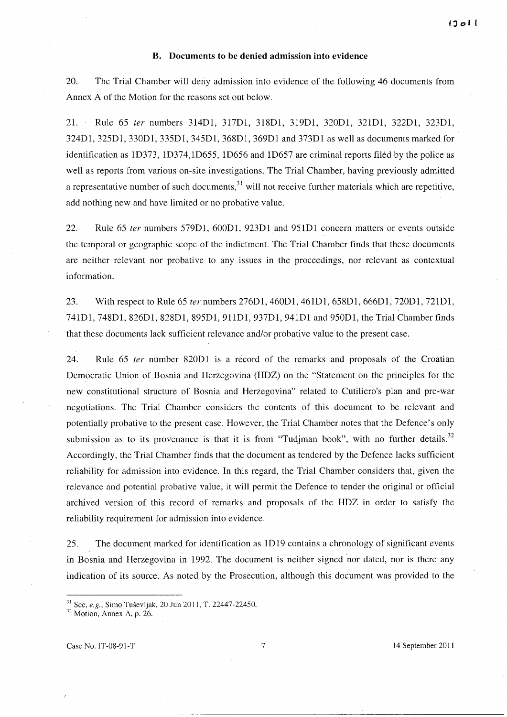### **B. Documents to be denied admission into evidence**

20. The Trial Chamber will deny admission into evidence of the following 46 documents from Annex A of the Motion for the reasons set out below.

21. Rule 65 fer numbers 314DI, 317DI, 318DI, 319DI, 320DI, 321DI, 322DI, 323DI, 324DI, 325DI, 330DI, 335Dl, 345DI, 368DI, 369DI and 373DI as well as documents marked for identification as ID373, ID374,ID655, ID656 and ID657 are criminal reports filed by the police as well as reports from various on-site investigations. The Trial Chamber, having previously admitted a representative number of such documents, $31$  will not receive further materials which are repetitive, add nothing new and have limited or no probative value.

22. Rule 65 ter numbers 579Dl, 600Dl, 923Dl and 95lDI concern matters or events outside the temporal or geographic scope of the indictment. The Trial Chamber finds that these documents are neither relevant nor probative to any issues in the proceedings, nor relevant as contextual information.

23. With respect to Rule 65 ter numbers 276D1, 460D1, 461D1, 658D1, 666D1, 720D1, 721D1, 741DI, 748DI, 826DI, 828DI, 895DI, 9IlDI, 937DI, 94lDI and 950DI, the Trial Chamber finds that these documents lack sufficient relevance and/or probative value to the present case.

24. Rule 65 ter number 820D1 is a record of the remarks and proposals of the Croatian Democratic Union of Bosnia and Herzegovina (HDZ) on the "Statement on the principles for the new constitutional structure of Bosnia and Herzegovina" related to Cutiliero's plan and pre-war negotiations. The Trial Chamber considers the contents of this document to be relevant and potentially probative to the present case. However, rhe Trial Chamber notes that the Defence's only submission as to its provenance is that it is from "Tudjman book", with no further details. $32$ Accordingly, the Trial Chamber finds that the document as tendered by the Defence lacks sufficient reliability for admission into evidence. **In** this regard, the Trial Chamber considers that, given the relevance and potential probative value, it will permit the Defence to tender the original or official archived version of this record of remarks and proposals of the HDZ in order to satisfy the reliability requirement for admission into evidence.

25. The document marked for identification as ID19 contains a chronology of significant events in Bosnia and Herzegovina in 1992. The document is neither signed nor dated, nor is there any indication of its source. As noted by the Prosecution, although this document was provided to the

Case No. IT-08-91-T 7 14 September 2011

<sup>31</sup>See, *e.g.,* Simo Tusevljak, 20 lun 2011, T. 22447-22450.

 $32$  Motion, Annex A, p. 26.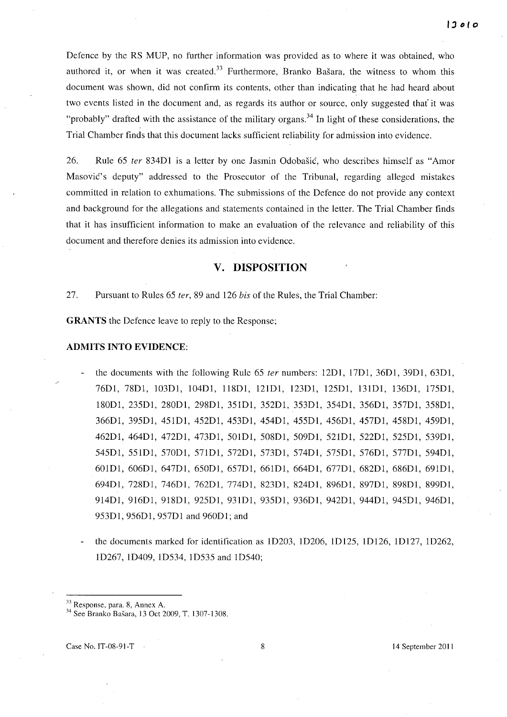Defence by the RS MUP, no further information was provided as to where it was obtained, who authored it, or when it was created.<sup>33</sup> Furthermore, Branko Bašara, the witness to whom this document was shown, did not confirm its contents, other than indicating that he had heard about two events listed in the document and, as regards its author or source, only suggested that' it was "probably" drafted with the assistance of the military organs.<sup>34</sup> In light of these considerations, the Trial Chamber finds that this document lacks sufficient reliability for admission into evidence.

26. Rule 65 ter 834D1 is a letter by one Jasmin Odobašić, who describes himself as "Amor Masovic's deputy" addressed to the Prosecutor of the Tribunal, regarding alleged mistakes committed in relation to exhumations. The submissions of the Defence do not provide any context and background for the allegations and statements contained in the letter. The Trial Chamber finds that it has insufficient information to make an evaluation of the relevance and reliability of this document and therefore denies its admission into evidence.

## **v. DISPOSITION**

27. Pursuant to Rules 65 ter, 89 and 126 bis of the Rules, the Trial Chamber:

**GRANTS** the Defence leave to reply to the Response;

#### **ADMITS INTO EVIDENCE:**

- the documents with the following Rule 65 *ter* numbers: 12D1, 17D1, 36D1, 39D1, 63D1, 76DI, 78DI, 103DI, 104DI, 118DI, 121DI, 123DI, 125DI, 13IDI, 136DI, 175DI, 180DI, 235DI, 280DI, 298DI, 351DI, 352DI, 353DI, 354DI, 356DI, 357DI, 358DI, 366Dl, 395DI, 451DI, 452DI, 453DI, 454DI, 455DI, 456DI, 457DI, 458DI, 459DI, 462DI, 464DI, 472DI, 473DI, 501DI, 508DI, 509Dl, 521DI, 522Dl, 525Dl, 539Dl, 545Dl, 551Dl, 570Dl, 571Dl, 572Dl, 573Dl, 574Dl, 575Dl, 576Dl, 577Dl, 594Dl, 601Dl, 606Dl, 647DI, 650Dl, 657Dl, 661DI, 664DI, 677Dl, 682Dl, 686Dl, 691DI, 694Dl, 728DI, 746Dl, 762Dl, 774Dl, 823Dl, 824Dl, 896Dl, 897Dl, 898Dl, 899Dl, 914DI, 916Dl, 918DI, 925DI, 931DI, 935DI, 936DI, 942DI, 944DI, 945Dl, 946Dl, 953DI, 956Dl, 957Dl and 960Dl; and
- the documents marked for identification as ID203, ID206, ID125, ID126, ID127, ID262, ID267, ID409, ID534, ID535 and ID540;

<sup>33</sup> Response, para. 8, Annex A.

<sup>34</sup> See Branko Basara, 13 Oct 2009, T. 1307-1308.